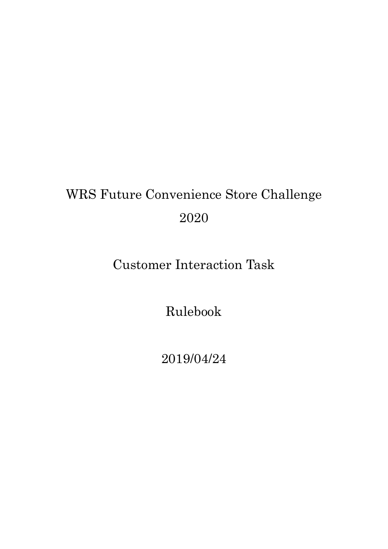# WRS Future Convenience Store Challenge 2020

## Customer Interaction Task

Rulebook

2019/04/24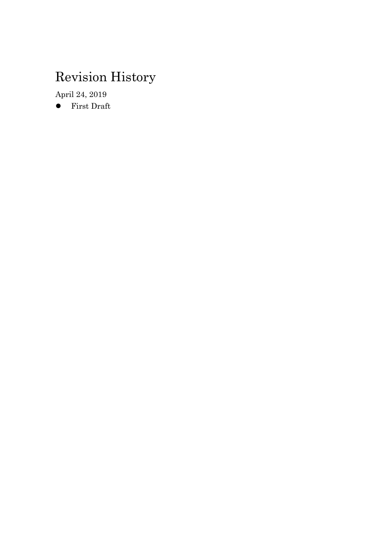## Revision History

April 24, 2019

First Draft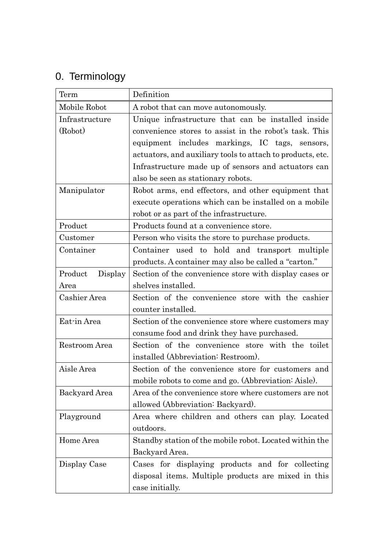## 0. Terminology

| Term               | Definition                                                 |
|--------------------|------------------------------------------------------------|
| Mobile Robot       | A robot that can move autonomously.                        |
| Infrastructure     | Unique infrastructure that can be installed inside         |
| (Robot)            | convenience stores to assist in the robot's task. This     |
|                    | equipment includes markings, IC tags,<br>sensors,          |
|                    | actuators, and auxiliary tools to attach to products, etc. |
|                    | Infrastructure made up of sensors and actuators can        |
|                    | also be seen as stationary robots.                         |
| Manipulator        | Robot arms, end effectors, and other equipment that        |
|                    | execute operations which can be installed on a mobile      |
|                    | robot or as part of the infrastructure.                    |
| Product            | Products found at a convenience store.                     |
| Customer           | Person who visits the store to purchase products.          |
| Container          | Container used to hold and transport multiple              |
|                    | products. A container may also be called a "carton."       |
| Product<br>Display | Section of the convenience store with display cases or     |
| Area               | shelves installed.                                         |
| Cashier Area       | Section of the convenience store with the cashier          |
|                    | counter installed.                                         |
| Eat-in Area        | Section of the convenience store where customers may       |
|                    | consume food and drink they have purchased.                |
| Restroom Area      | Section of the convenience store with the toilet           |
|                    | installed (Abbreviation: Restroom).                        |
| Aisle Area         | Section of the convenience store for customers and         |
|                    | mobile robots to come and go. (Abbreviation: Aisle).       |
| Backyard Area      | Area of the convenience store where customers are not      |
|                    | allowed (Abbreviation: Backyard).                          |
| Playground         | Area where children and others can play. Located           |
|                    | outdoors.                                                  |
| Home Area          | Standby station of the mobile robot. Located within the    |
|                    | Backyard Area.                                             |
| Display Case       | Cases for displaying products and for collecting           |
|                    | disposal items. Multiple products are mixed in this        |
|                    | case initially.                                            |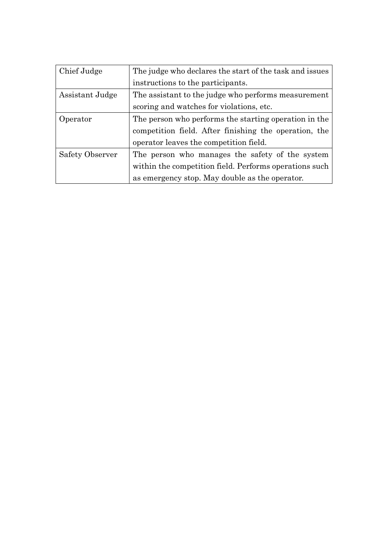| Chief Judge            | The judge who declares the start of the task and issues |
|------------------------|---------------------------------------------------------|
|                        | instructions to the participants.                       |
| Assistant Judge        | The assistant to the judge who performs measurement     |
|                        | scoring and watches for violations, etc.                |
| Operator               | The person who performs the starting operation in the   |
|                        | competition field. After finishing the operation, the   |
|                        | operator leaves the competition field.                  |
| <b>Safety Observer</b> | The person who manages the safety of the system         |
|                        | within the competition field. Performs operations such  |
|                        | as emergency stop. May double as the operator.          |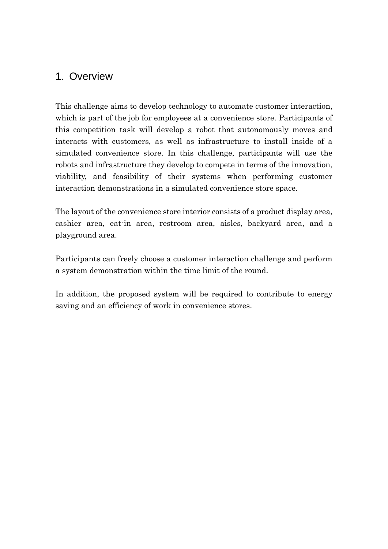## 1. Overview

This challenge aims to develop technology to automate customer interaction, which is part of the job for employees at a convenience store. Participants of this competition task will develop a robot that autonomously moves and interacts with customers, as well as infrastructure to install inside of a simulated convenience store. In this challenge, participants will use the robots and infrastructure they develop to compete in terms of the innovation, viability, and feasibility of their systems when performing customer interaction demonstrations in a simulated convenience store space.

The layout of the convenience store interior consists of a product display area, cashier area, eat-in area, restroom area, aisles, backyard area, and a playground area.

Participants can freely choose a customer interaction challenge and perform a system demonstration within the time limit of the round.

In addition, the proposed system will be required to contribute to energy saving and an efficiency of work in convenience stores.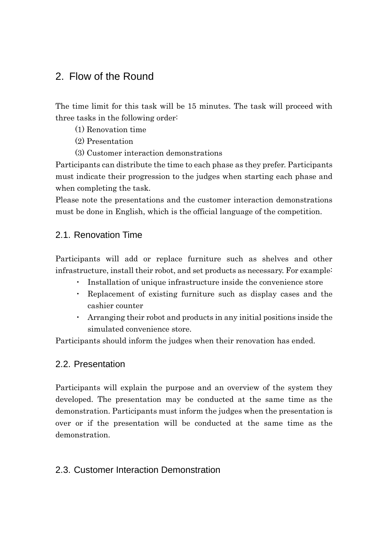## 2. Flow of the Round

The time limit for this task will be 15 minutes. The task will proceed with three tasks in the following order:

- (1) Renovation time
- (2) Presentation
- (3) Customer interaction demonstrations

Participants can distribute the time to each phase as they prefer. Participants must indicate their progression to the judges when starting each phase and when completing the task.

Please note the presentations and the customer interaction demonstrations must be done in English, which is the official language of the competition.

## 2.1. Renovation Time

Participants will add or replace furniture such as shelves and other infrastructure, install their robot, and set products as necessary. For example:

- Installation of unique infrastructure inside the convenience store
- Replacement of existing furniture such as display cases and the cashier counter
- ・ Arranging their robot and products in any initial positions inside the simulated convenience store.

Participants should inform the judges when their renovation has ended.

### 2.2. Presentation

Participants will explain the purpose and an overview of the system they developed. The presentation may be conducted at the same time as the demonstration. Participants must inform the judges when the presentation is over or if the presentation will be conducted at the same time as the demonstration.

## 2.3. Customer Interaction Demonstration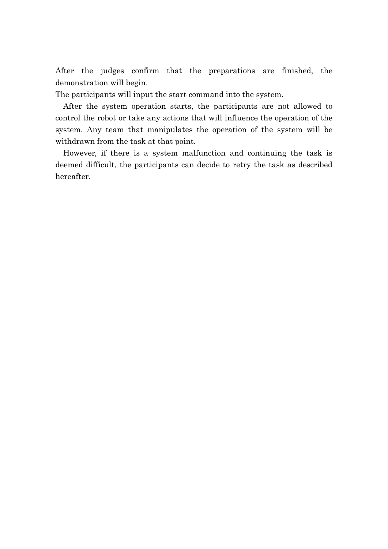After the judges confirm that the preparations are finished, the demonstration will begin.

The participants will input the start command into the system.

After the system operation starts, the participants are not allowed to control the robot or take any actions that will influence the operation of the system. Any team that manipulates the operation of the system will be withdrawn from the task at that point.

However, if there is a system malfunction and continuing the task is deemed difficult, the participants can decide to retry the task as described hereafter.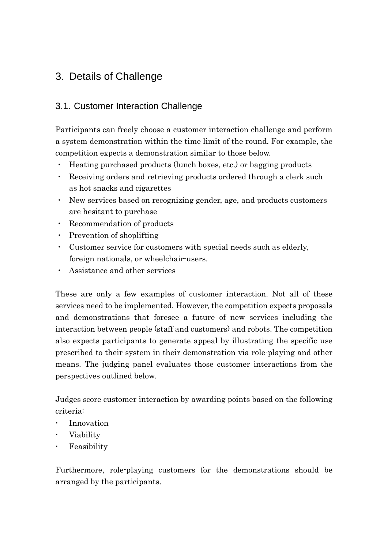## 3. Details of Challenge

## 3.1. Customer Interaction Challenge

Participants can freely choose a customer interaction challenge and perform a system demonstration within the time limit of the round. For example, the competition expects a demonstration similar to those below.

- ・ Heating purchased products (lunch boxes, etc.) or bagging products
- ・ Receiving orders and retrieving products ordered through a clerk such as hot snacks and cigarettes
- ・ New services based on recognizing gender, age, and products customers are hesitant to purchase
- ・ Recommendation of products
- ・ Prevention of shoplifting
- ・ Customer service for customers with special needs such as elderly, foreign nationals, or wheelchair-users.
- ・ Assistance and other services

These are only a few examples of customer interaction. Not all of these services need to be implemented. However, the competition expects proposals and demonstrations that foresee a future of new services including the interaction between people (staff and customers) and robots. The competition also expects participants to generate appeal by illustrating the specific use prescribed to their system in their demonstration via role-playing and other means. The judging panel evaluates those customer interactions from the perspectives outlined below.

Judges score customer interaction by awarding points based on the following criteria:

- Innovation
- Viability
- Feasibility

Furthermore, role-playing customers for the demonstrations should be arranged by the participants.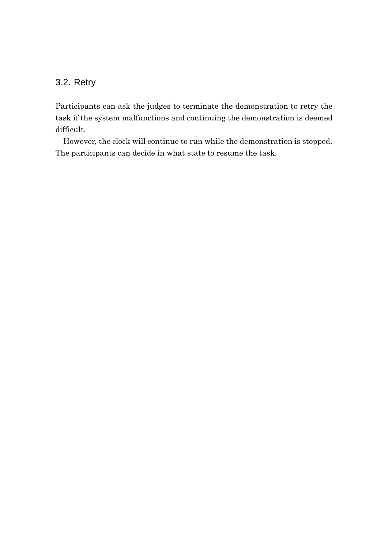## 3.2. Retry

Participants can ask the judges to terminate the demonstration to retry the task if the system malfunctions and continuing the demonstration is deemed difficult.

However, the clock will continue to run while the demonstration is stopped. The participants can decide in what state to resume the task.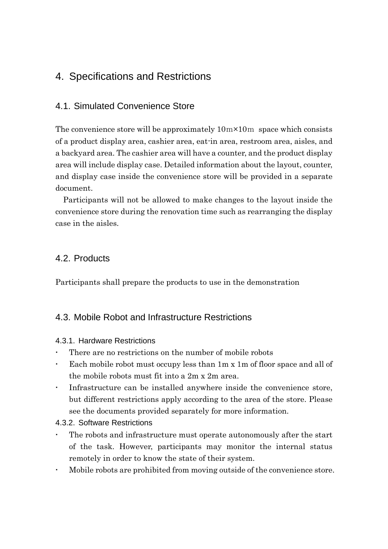## 4. Specifications and Restrictions

## 4.1. Simulated Convenience Store

The convenience store will be approximately  $10m \times 10m$  space which consists of a product display area, cashier area, eat-in area, restroom area, aisles, and a backyard area. The cashier area will have a counter, and the product display area will include display case. Detailed information about the layout, counter, and display case inside the convenience store will be provided in a separate document.

Participants will not be allowed to make changes to the layout inside the convenience store during the renovation time such as rearranging the display case in the aisles.

## 4.2. Products

Participants shall prepare the products to use in the demonstration

## 4.3. Mobile Robot and Infrastructure Restrictions

#### 4.3.1. Hardware Restrictions

- There are no restrictions on the number of mobile robots
- Each mobile robot must occupy less than 1m x 1m of floor space and all of the mobile robots must fit into a 2m x 2m area.
- Infrastructure can be installed anywhere inside the convenience store, but different restrictions apply according to the area of the store. Please see the documents provided separately for more information.

#### 4.3.2. Software Restrictions

- The robots and infrastructure must operate autonomously after the start of the task. However, participants may monitor the internal status remotely in order to know the state of their system.
- Mobile robots are prohibited from moving outside of the convenience store.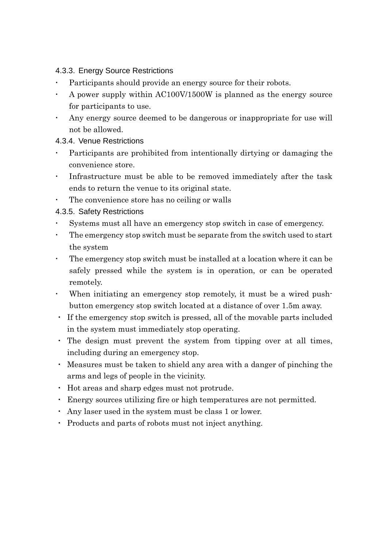#### 4.3.3. Energy Source Restrictions

- Participants should provide an energy source for their robots.
- A power supply within AC100V/1500W is planned as the energy source for participants to use.
- Any energy source deemed to be dangerous or inappropriate for use will not be allowed.

#### 4.3.4. Venue Restrictions

- Participants are prohibited from intentionally dirtying or damaging the convenience store.
- Infrastructure must be able to be removed immediately after the task ends to return the venue to its original state.
- The convenience store has no ceiling or walls

### 4.3.5. Safety Restrictions

- Systems must all have an emergency stop switch in case of emergency.
- The emergency stop switch must be separate from the switch used to start the system
- The emergency stop switch must be installed at a location where it can be safely pressed while the system is in operation, or can be operated remotely.
- When initiating an emergency stop remotely, it must be a wired pushbutton emergency stop switch located at a distance of over 1.5m away.
- ・ If the emergency stop switch is pressed, all of the movable parts included in the system must immediately stop operating.
- ・ The design must prevent the system from tipping over at all times, including during an emergency stop.
- ・ Measures must be taken to shield any area with a danger of pinching the arms and legs of people in the vicinity.
- ・ Hot areas and sharp edges must not protrude.
- ・ Energy sources utilizing fire or high temperatures are not permitted.
- ・ Any laser used in the system must be class 1 or lower.
- ・ Products and parts of robots must not inject anything.